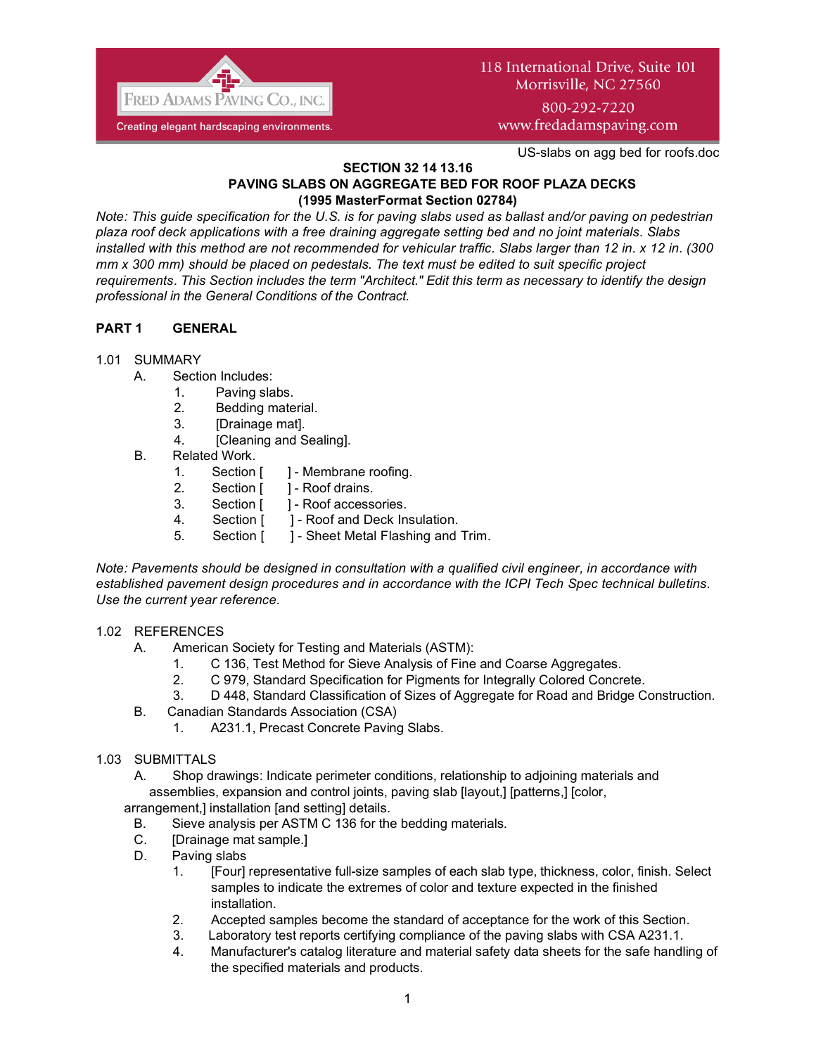

## 118 International Drive, Suite 101 Morrisville, NC 27560

800-292-7220 www.fredadamspaving.com

US-slabs on agg bed for roofs.doc

#### **SECTION 32 14 13.16 PAVING SLABS ON AGGREGATE BED FOR ROOF PLAZA DECKS (1995 MasterFormat Section 02784)**

*Note: This guide specification for the U.S. is for paving slabs used as ballast and/or paving on pedestrian plaza roof deck applications with a free draining aggregate setting bed and no joint materials. Slabs installed with this method are not recommended for vehicular traffic. Slabs larger than 12 in. x 12 in. (300 mm x 300 mm) should be placed on pedestals. The text must be edited to suit specific project requirements*. *This Section includes the term "Architect." Edit this term as necessary to identify the design professional in the General Conditions of the Contract.*

## **PART 1 GENERAL**

#### 1.01 SUMMARY

- A. Section Includes:
	- 1. Paving slabs.
	- 2. Bedding material.
	- 3. [Drainage mat].
	- 4. [Cleaning and Sealing].
- B. Related Work.
	- 1. Section [ ] Membrane roofing.
	- 2. Section [ ] Roof drains.
	- 3. Section [ ] Roof accessories.
	- 4. Section [ ] Roof and Deck Insulation.
	- 5. Section [ ] Sheet Metal Flashing and Trim.

*Note: Pavements should be designed in consultation with a qualified civil engineer, in accordance with established pavement design procedures and in accordance with the ICPI Tech Spec technical bulletins. Use the current year reference.*

#### 1.02 REFERENCES

- A. American Society for Testing and Materials (ASTM):
	- 1. C 136, Test Method for Sieve Analysis of Fine and Coarse Aggregates.
	- 2. C 979, Standard Specification for Pigments for Integrally Colored Concrete.
	- 3. D 448, Standard Classification of Sizes of Aggregate for Road and Bridge Construction.
- B. Canadian Standards Association (CSA)
	- 1. A231.1, Precast Concrete Paving Slabs.

#### 1.03 SUBMITTALS

A. Shop drawings: Indicate perimeter conditions, relationship to adjoining materials and assemblies, expansion and control joints, paving slab [layout,] [patterns,] [color,

arrangement,] installation [and setting] details.

- B. Sieve analysis per ASTM C 136 for the bedding materials.
- C. [Drainage mat sample.]
- D. Paving slabs
	- 1. [Four] representative full-size samples of each slab type, thickness, color, finish. Select samples to indicate the extremes of color and texture expected in the finished installation.
	- 2. Accepted samples become the standard of acceptance for the work of this Section.
	- 3. Laboratory test reports certifying compliance of the paving slabs with CSA A231.1.
	- 4. Manufacturer's catalog literature and material safety data sheets for the safe handling of the specified materials and products.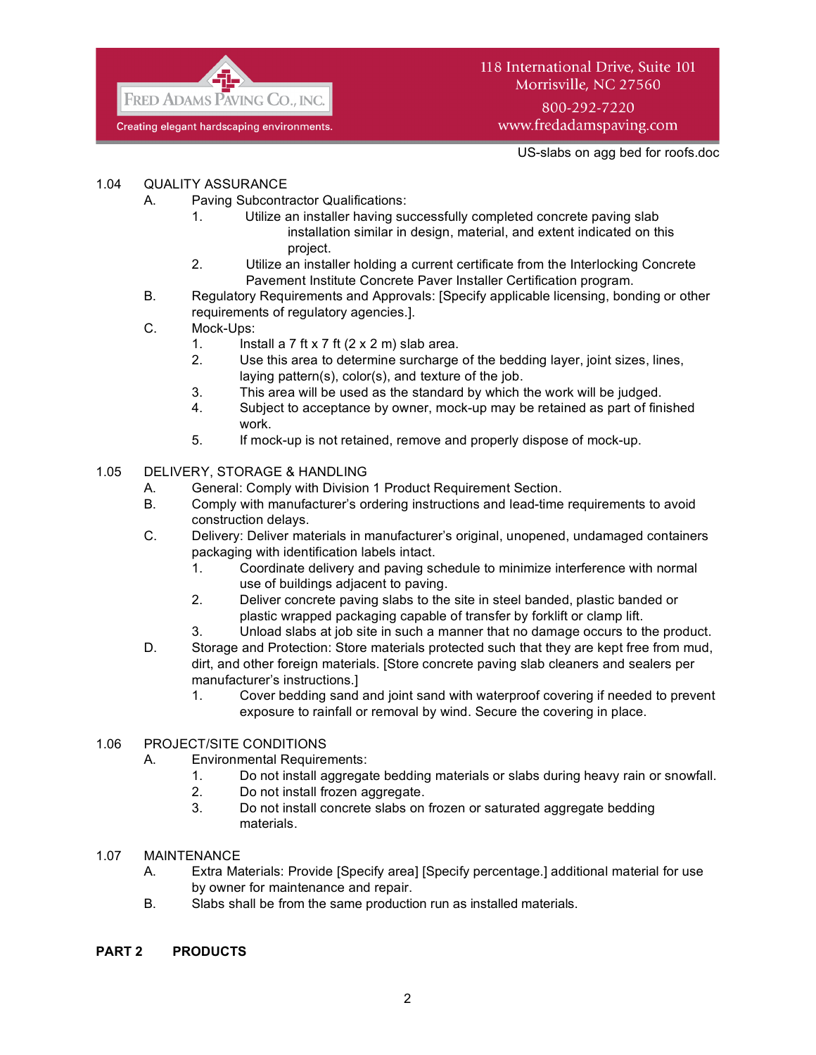

800-292-7220 www.fredadamspaving.com

US-slabs on agg bed for roofs.doc

## 1.04 QUALITY ASSURANCE

- A. Paving Subcontractor Qualifications:
	- 1. Utilize an installer having successfully completed concrete paving slab installation similar in design, material, and extent indicated on this project.
	- 2. Utilize an installer holding a current certificate from the Interlocking Concrete Pavement Institute Concrete Paver Installer Certification program.
- B. Regulatory Requirements and Approvals: [Specify applicable licensing, bonding or other requirements of regulatory agencies.].
- C. Mock-Ups:
	- 1. Install a  $7$  ft  $\times$  7 ft  $(2 \times 2 \text{ m})$  slab area.
		- 2. Use this area to determine surcharge of the bedding layer, joint sizes, lines, laying pattern(s), color(s), and texture of the job.
		- 3. This area will be used as the standard by which the work will be judged.
		- 4. Subject to acceptance by owner, mock-up may be retained as part of finished work.
		- 5. If mock-up is not retained, remove and properly dispose of mock-up.

#### 1.05 DELIVERY, STORAGE & HANDLING

- A. General: Comply with Division 1 Product Requirement Section.
- B. Comply with manufacturer's ordering instructions and lead-time requirements to avoid construction delays.
- C. Delivery: Deliver materials in manufacturer's original, unopened, undamaged containers packaging with identification labels intact.
	- 1. Coordinate delivery and paving schedule to minimize interference with normal use of buildings adjacent to paving.
	- 2. Deliver concrete paving slabs to the site in steel banded, plastic banded or plastic wrapped packaging capable of transfer by forklift or clamp lift.
	- 3. Unload slabs at job site in such a manner that no damage occurs to the product.
- D. Storage and Protection: Store materials protected such that they are kept free from mud, dirt, and other foreign materials. [Store concrete paving slab cleaners and sealers per manufacturer's instructions.]
	- 1. Cover bedding sand and joint sand with waterproof covering if needed to prevent exposure to rainfall or removal by wind. Secure the covering in place.

## 1.06 PROJECT/SITE CONDITIONS

- A. Environmental Requirements:
	- 1. Do not install aggregate bedding materials or slabs during heavy rain or snowfall.
	- 2. Do not install frozen aggregate.
	- 3. Do not install concrete slabs on frozen or saturated aggregate bedding materials.
- 1.07 MAINTENANCE
	- A. Extra Materials: Provide [Specify area] [Specify percentage.] additional material for use by owner for maintenance and repair.
	- B. Slabs shall be from the same production run as installed materials.

#### **PART 2 PRODUCTS**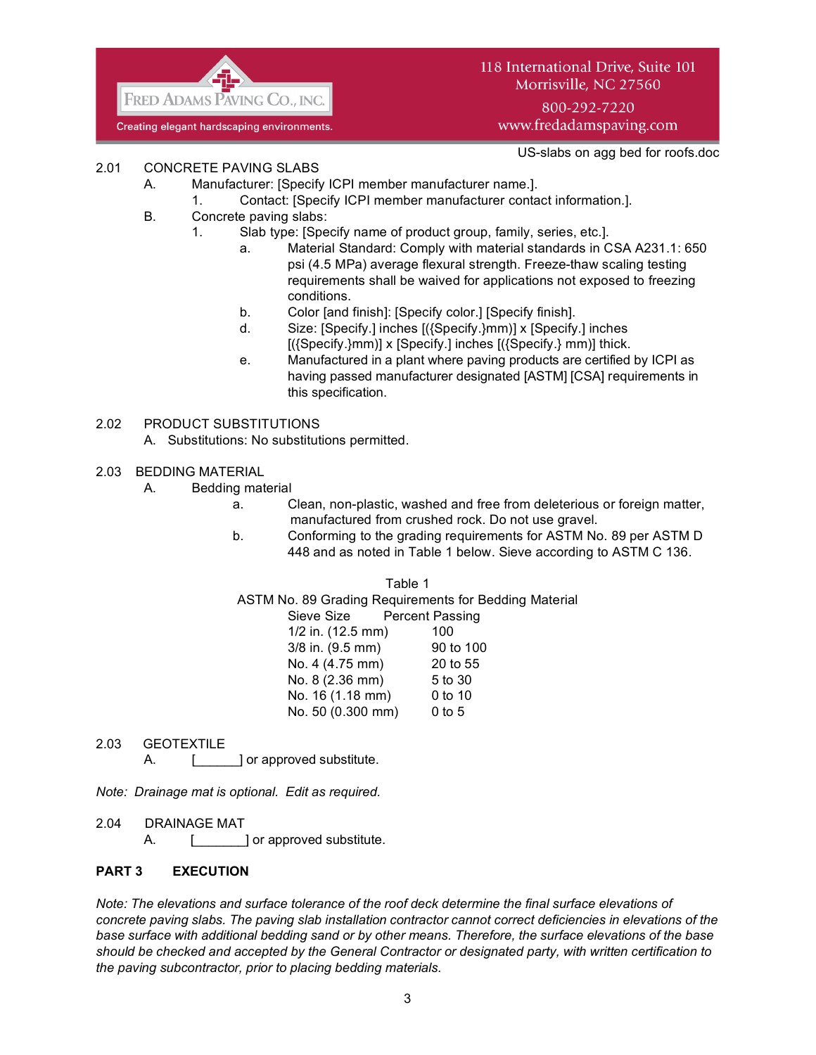

118 International Drive, Suite 101 Morrisville, NC 27560 800-292-7220

www.fredadamspaving.com

US-slabs on agg bed for roofs.doc

- 2.01 CONCRETE PAVING SLABS
	- A. Manufacturer: [Specify ICPI member manufacturer name.].
		- 1. Contact: [Specify ICPI member manufacturer contact information.].
	- B. Concrete paving slabs:
		- 1. Slab type: [Specify name of product group, family, series, etc.].
			- a. Material Standard: Comply with material standards in CSA A231.1: 650 psi (4.5 MPa) average flexural strength. Freeze-thaw scaling testing requirements shall be waived for applications not exposed to freezing conditions.
			- b. Color [and finish]: [Specify color.] [Specify finish].
			- d. Size: [Specify.] inches [({Specify.}mm)] x [Specify.] inches  $[(\text{Specify.}\}m\text{m})] \times [\text{Specify.}]$  inches  $[(\text{Specify.}\}m\text{m})]$  thick.
			- e. Manufactured in a plant where paving products are certified by ICPI as having passed manufacturer designated [ASTM] [CSA] requirements in this specification.
- 2.02 PRODUCT SUBSTITUTIONS
	- A. Substitutions: No substitutions permitted.
- 2.03 BEDDING MATERIAL
	- A. Bedding material
		- a. Clean, non-plastic, washed and free from deleterious or foreign matter, manufactured from crushed rock. Do not use gravel.
		- b. Conforming to the grading requirements for ASTM No. 89 per ASTM D 448 and as noted in Table 1 below. Sieve according to ASTM C 136.

Table 1

ASTM No. 89 Grading Requirements for Bedding Material

Sieve Size Percent Passing 1/2 in. (12.5 mm) 100 3/8 in. (9.5 mm) 90 to 100 No. 4 (4.75 mm) 20 to 55 No. 8 (2.36 mm) 5 to 30 No. 16 (1.18 mm) 0 to 10 No. 50 (0.300 mm) 0 to 5

2.03 GEOTEXTILE

A. [ ] or approved substitute.

*Note: Drainage mat is optional. Edit as required.*

2.04 DRAINAGE MAT

A. [ \_\_\_\_\_\_\_] or approved substitute.

## **PART 3 EXECUTION**

*Note: The elevations and surface tolerance of the roof deck determine the final surface elevations of concrete paving slabs. The paving slab installation contractor cannot correct deficiencies in elevations of the base surface with additional bedding sand or by other means. Therefore, the surface elevations of the base should be checked and accepted by the General Contractor or designated party, with written certification to the paving subcontractor, prior to placing bedding materials.*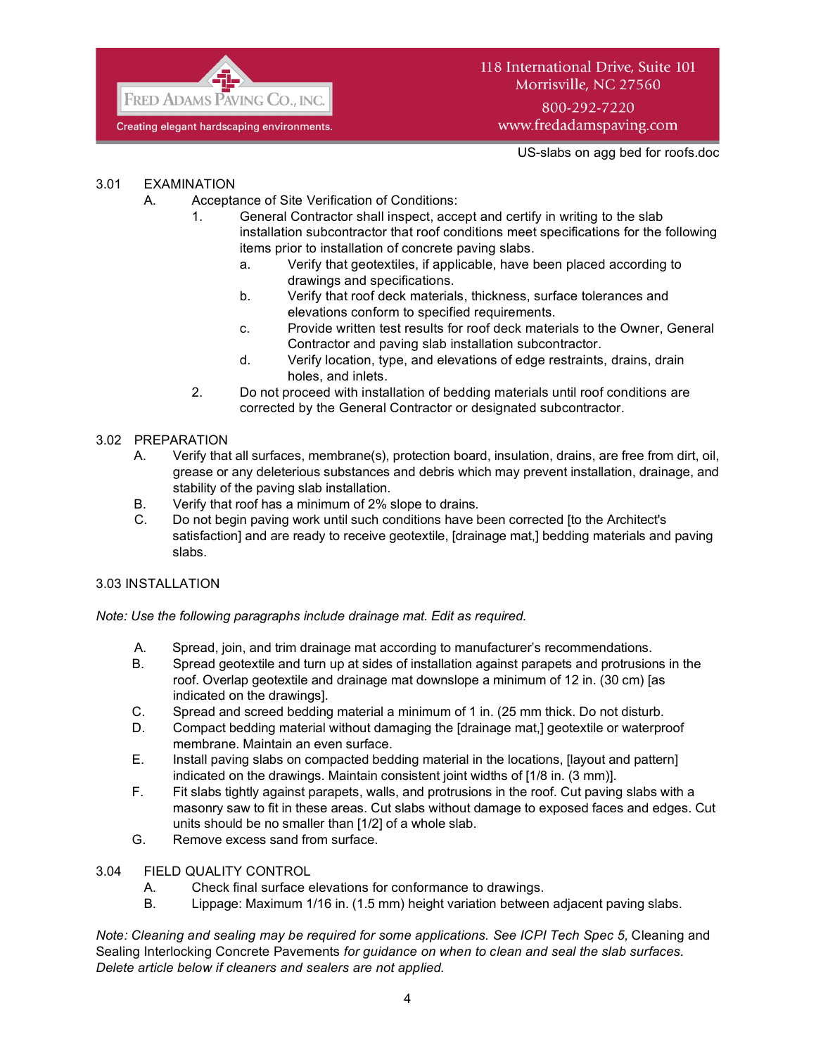

# 118 International Drive, Suite 101 Morrisville, NC 27560

800-292-7220 www.fredadamspaving.com

US-slabs on agg bed for roofs.doc

#### 3.01 EXAMINATION

- A. Acceptance of Site Verification of Conditions:
	- 1. General Contractor shall inspect, accept and certify in writing to the slab installation subcontractor that roof conditions meet specifications for the following items prior to installation of concrete paving slabs.
		- a. Verify that geotextiles, if applicable, have been placed according to drawings and specifications.
		- b. Verify that roof deck materials, thickness, surface tolerances and elevations conform to specified requirements.
		- c. Provide written test results for roof deck materials to the Owner, General Contractor and paving slab installation subcontractor.
		- d. Verify location, type, and elevations of edge restraints, drains, drain holes, and inlets.
	- 2. Do not proceed with installation of bedding materials until roof conditions are corrected by the General Contractor or designated subcontractor.

#### 3.02 PREPARATION

- A. Verify that all surfaces, membrane(s), protection board, insulation, drains, are free from dirt, oil, grease or any deleterious substances and debris which may prevent installation, drainage, and stability of the paving slab installation.
- B. Verify that roof has a minimum of 2% slope to drains.
- C. Do not begin paving work until such conditions have been corrected [to the Architect's satisfaction] and are ready to receive geotextile, [drainage mat,] bedding materials and paving slabs.

#### 3.03 INSTALLATION

*Note: Use the following paragraphs include drainage mat. Edit as required.*

- A. Spread, join, and trim drainage mat according to manufacturer's recommendations.
- B. Spread geotextile and turn up at sides of installation against parapets and protrusions in the roof. Overlap geotextile and drainage mat downslope a minimum of 12 in. (30 cm) [as indicated on the drawings].
- C. Spread and screed bedding material a minimum of 1 in. (25 mm thick. Do not disturb.
- D. Compact bedding material without damaging the [drainage mat,] geotextile or waterproof membrane. Maintain an even surface.
- E. Install paving slabs on compacted bedding material in the locations, [layout and pattern] indicated on the drawings. Maintain consistent joint widths of [1/8 in. (3 mm)].
- F. Fit slabs tightly against parapets, walls, and protrusions in the roof. Cut paving slabs with a masonry saw to fit in these areas. Cut slabs without damage to exposed faces and edges. Cut units should be no smaller than [1/2] of a whole slab.
- G. Remove excess sand from surface.
- 3.04 FIELD QUALITY CONTROL
	- A. Check final surface elevations for conformance to drawings.
	- B. Lippage: Maximum 1/16 in. (1.5 mm) height variation between adjacent paving slabs.

*Note: Cleaning and sealing may be required for some applications. See ICPI Tech Spec 5, Cleaning and* Sealing Interlocking Concrete Pavements *for guidance on when to clean and seal the slab surfaces. Delete article below if cleaners and sealers are not applied.*